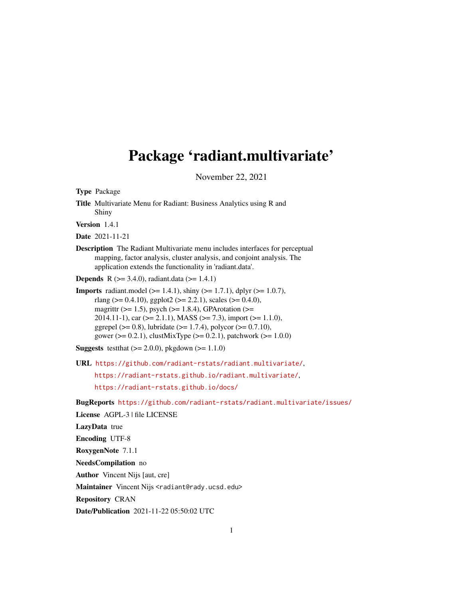## Package 'radiant.multivariate'

November 22, 2021

Type Package Title Multivariate Menu for Radiant: Business Analytics using R and Shiny Version 1.4.1 Date 2021-11-21 Description The Radiant Multivariate menu includes interfaces for perceptual mapping, factor analysis, cluster analysis, and conjoint analysis. The application extends the functionality in 'radiant.data'. **Depends** R ( $>= 3.4.0$ ), radiant.data ( $>= 1.4.1$ ) **Imports** radiant.model ( $>= 1.4.1$ ), shiny ( $>= 1.7.1$ ), dplyr ( $>= 1.0.7$ ), rlang ( $> = 0.4.10$ ), ggplot2 ( $> = 2.2.1$ ), scales ( $> = 0.4.0$ ), magrittr ( $>= 1.5$ ), psych ( $>= 1.8.4$ ), GPArotation ( $>=$ 2014.11-1), car ( $>= 2.1.1$ ), MASS ( $>= 7.3$ ), import ( $>= 1.1.0$ ), ggrepel ( $> = 0.8$ ), lubridate ( $> = 1.7.4$ ), polycor ( $> = 0.7.10$ ), gower ( $>= 0.2.1$ ), clustMixType ( $>= 0.2.1$ ), patchwork ( $>= 1.0.0$ ) **Suggests** testthat  $(>= 2.0.0)$ , pkgdown  $(>= 1.1.0)$ URL <https://github.com/radiant-rstats/radiant.multivariate/>, <https://radiant-rstats.github.io/radiant.multivariate/>, <https://radiant-rstats.github.io/docs/> BugReports <https://github.com/radiant-rstats/radiant.multivariate/issues/> License AGPL-3 | file LICENSE LazyData true Encoding UTF-8 RoxygenNote 7.1.1 NeedsCompilation no Author Vincent Nijs [aut, cre] Maintainer Vincent Nijs <radiant@rady.ucsd.edu> Repository CRAN

Date/Publication 2021-11-22 05:50:02 UTC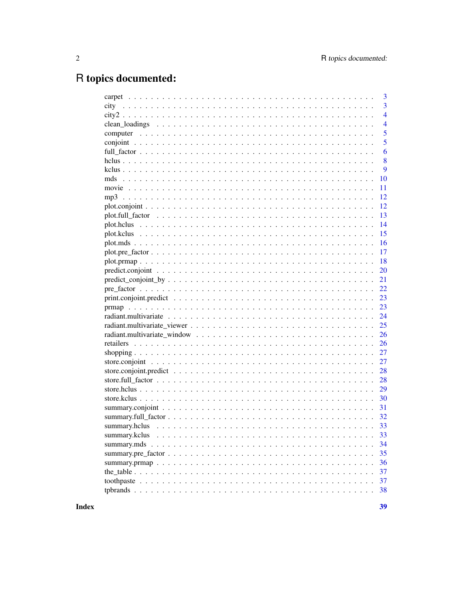## R topics documented:

|                                                                                                                        | 3              |
|------------------------------------------------------------------------------------------------------------------------|----------------|
|                                                                                                                        | 3              |
|                                                                                                                        | $\overline{4}$ |
|                                                                                                                        | $\overline{4}$ |
|                                                                                                                        | 5              |
|                                                                                                                        | 5              |
|                                                                                                                        | 6              |
|                                                                                                                        | 8              |
|                                                                                                                        | 9              |
|                                                                                                                        | 10             |
|                                                                                                                        | 11             |
|                                                                                                                        | 12             |
|                                                                                                                        | 12             |
|                                                                                                                        | 13             |
|                                                                                                                        | 14             |
|                                                                                                                        | 15             |
|                                                                                                                        | 16             |
|                                                                                                                        | 17             |
|                                                                                                                        | 18             |
|                                                                                                                        | 20             |
| $predict\_conjoint_by \dots \dots \dots \dots \dots \dots \dots \dots \dots \dots \dots \dots \dots \dots \dots \dots$ | 21             |
|                                                                                                                        | 22             |
|                                                                                                                        | 23             |
|                                                                                                                        | 23             |
|                                                                                                                        | 24             |
|                                                                                                                        | 25             |
|                                                                                                                        | 26             |
|                                                                                                                        | 26             |
|                                                                                                                        | 27             |
|                                                                                                                        | 27             |
|                                                                                                                        | 28             |
|                                                                                                                        | 28             |
|                                                                                                                        | 29             |
|                                                                                                                        | 30             |
|                                                                                                                        | 31             |
|                                                                                                                        |                |
|                                                                                                                        | 33             |
|                                                                                                                        | 33             |
|                                                                                                                        | 34             |
|                                                                                                                        | 35             |
|                                                                                                                        | 36             |
|                                                                                                                        | 37             |
|                                                                                                                        | 37             |
|                                                                                                                        | 38             |
|                                                                                                                        |                |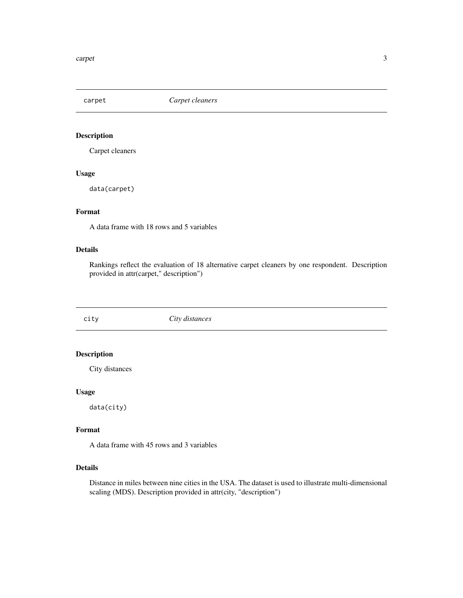<span id="page-2-0"></span>carpet *Carpet cleaners*

## Description

Carpet cleaners

## Usage

data(carpet)

## Format

A data frame with 18 rows and 5 variables

#### Details

Rankings reflect the evaluation of 18 alternative carpet cleaners by one respondent. Description provided in attr(carpet," description")

city *City distances*

#### Description

City distances

#### Usage

data(city)

## Format

A data frame with 45 rows and 3 variables

#### Details

Distance in miles between nine cities in the USA. The dataset is used to illustrate multi-dimensional scaling (MDS). Description provided in attr(city, "description")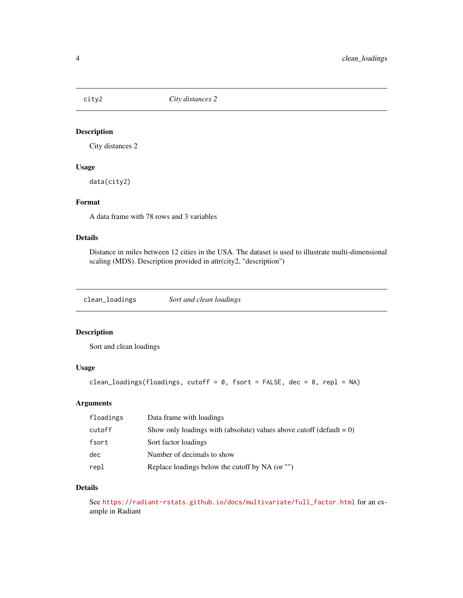<span id="page-3-0"></span>

## Description

City distances 2

#### Usage

data(city2)

#### Format

A data frame with 78 rows and 3 variables

## Details

Distance in miles between 12 cities in the USA. The dataset is used to illustrate multi-dimensional scaling (MDS). Description provided in attr(city2, "description")

clean\_loadings *Sort and clean loadings*

## Description

Sort and clean loadings

#### Usage

```
clean_loadings(floadings, cutoff = 0, fsort = FALSE, dec = 8, repl = NA)
```
## Arguments

| floadings | Data frame with loadings                                                |
|-----------|-------------------------------------------------------------------------|
| cutoff    | Show only loadings with (absolute) values above cutoff (default $= 0$ ) |
| fsort     | Sort factor loadings                                                    |
| dec       | Number of decimals to show                                              |
| repl      | Replace loadings below the cutoff by NA (or "")                         |

#### Details

See [https://radiant-rstats.github.io/docs/multivariate/full\\_factor.html](https://radiant-rstats.github.io/docs/multivariate/full_factor.html) for an example in Radiant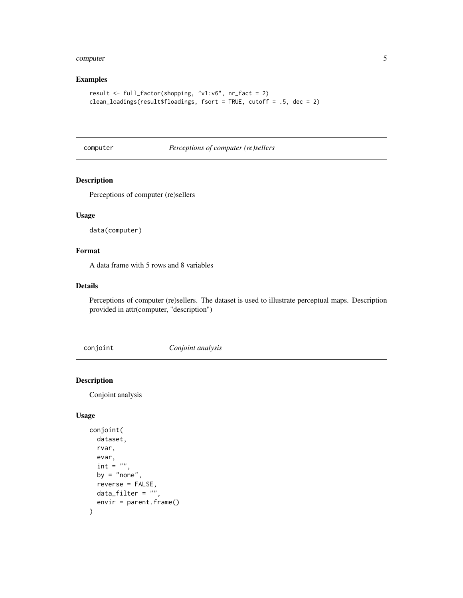#### <span id="page-4-0"></span>computer 5 and 5 and 5 and 5 and 5 and 5 and 5 and 5 and 5 and 5 and 5 and 5 and 5 and 5 and 5 and 5 and 5 and 5 and 5 and 5 and 5 and 5 and 5 and 5 and 5 and 5 and 5 and 5 and 5 and 5 and 5 and 5 and 5 and 5 and 5 and 5 a

## Examples

```
result <- full_factor(shopping, "v1:v6", nr_fact = 2)
clean_loadings(result$floadings, fsort = TRUE, cutoff = .5, dec = 2)
```
computer *Perceptions of computer (re)sellers*

## Description

Perceptions of computer (re)sellers

## Usage

data(computer)

#### Format

A data frame with 5 rows and 8 variables

## Details

Perceptions of computer (re)sellers. The dataset is used to illustrate perceptual maps. Description provided in attr(computer, "description")

<span id="page-4-1"></span>conjoint *Conjoint analysis*

#### Description

Conjoint analysis

```
conjoint(
  dataset,
  rvar,
  evar,
  int ="",
  by = "none",reverse = FALSE,
  data_filter = ",
  envir = parent.frame()
\mathcal{E}
```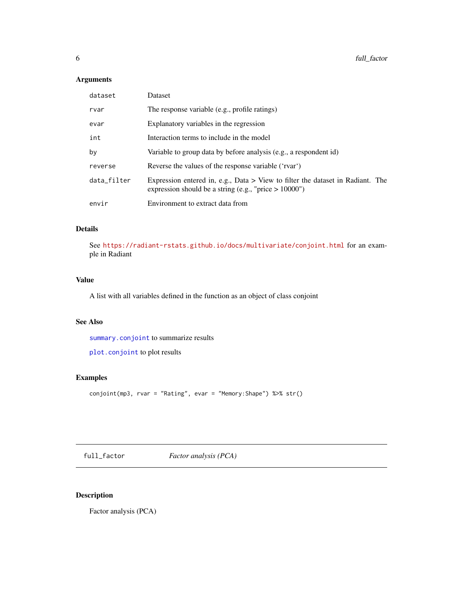## <span id="page-5-0"></span>Arguments

| dataset     | Dataset                                                                                                                                      |
|-------------|----------------------------------------------------------------------------------------------------------------------------------------------|
| rvar        | The response variable (e.g., profile ratings)                                                                                                |
| evar        | Explanatory variables in the regression                                                                                                      |
| int         | Interaction terms to include in the model                                                                                                    |
| by          | Variable to group data by before analysis (e.g., a respondent id)                                                                            |
| reverse     | Reverse the values of the response variable ('rvar')                                                                                         |
| data_filter | Expression entered in, e.g., Data $>$ View to filter the dataset in Radiant. The<br>expression should be a string (e.g., "price $> 10000$ ") |
| envir       | Environment to extract data from                                                                                                             |

## Details

See <https://radiant-rstats.github.io/docs/multivariate/conjoint.html> for an example in Radiant

## Value

A list with all variables defined in the function as an object of class conjoint

## See Also

[summary.conjoint](#page-30-1) to summarize results

[plot.conjoint](#page-11-1) to plot results

## Examples

conjoint(mp3, rvar = "Rating", evar = "Memory:Shape") %>% str()

<span id="page-5-1"></span>full\_factor *Factor analysis (PCA)*

## Description

Factor analysis (PCA)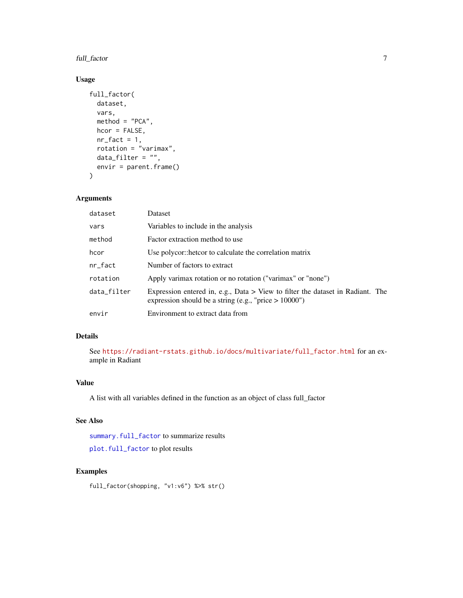<span id="page-6-0"></span>full\_factor 7

#### Usage

```
full_factor(
  dataset,
 vars,
 method = "PCA",hcor = FALSE,
 nr_fact = 1,
 rotation = "varimax",
 data_fitter = "",envir = parent.frame()\lambda
```
## Arguments

| dataset     | Dataset                                                                                                                                    |
|-------------|--------------------------------------------------------------------------------------------------------------------------------------------|
| vars        | Variables to include in the analysis                                                                                                       |
| method      | Factor extraction method to use                                                                                                            |
| hcor        | Use polycor::hetcor to calculate the correlation matrix                                                                                    |
| nr_fact     | Number of factors to extract                                                                                                               |
| rotation    | Apply varimax rotation or no rotation ("varimax" or "none")                                                                                |
| data_filter | Expression entered in, e.g., Data > View to filter the dataset in Radiant. The<br>expression should be a string (e.g., "price $> 10000$ ") |
| envir       | Environment to extract data from                                                                                                           |

## Details

See [https://radiant-rstats.github.io/docs/multivariate/full\\_factor.html](https://radiant-rstats.github.io/docs/multivariate/full_factor.html) for an example in Radiant

#### Value

A list with all variables defined in the function as an object of class full\_factor

## See Also

[summary.full\\_factor](#page-31-1) to summarize results

[plot.full\\_factor](#page-12-1) to plot results

## Examples

full\_factor(shopping, "v1:v6") %>% str()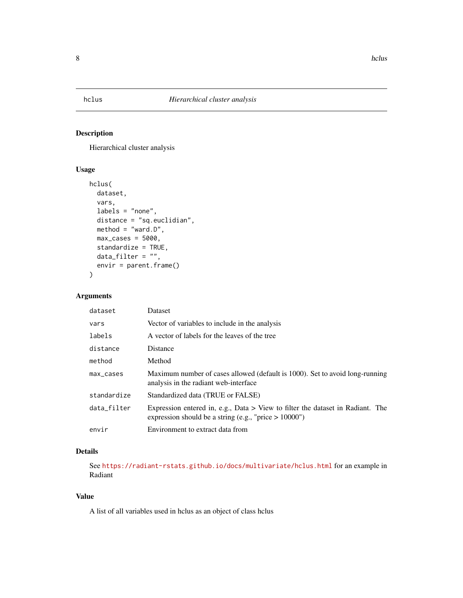<span id="page-7-1"></span><span id="page-7-0"></span>

## Description

Hierarchical cluster analysis

## Usage

```
hclus(
  dataset,
  vars,
  labels = "none",
  distance = "sq.euclidian",
  method = "ward.D",max\_cases = 5000,standardize = TRUE,
  data_filter = ",
  envir = parent.frame()
\mathcal{L}
```
## Arguments

| dataset     | <b>Dataset</b>                                                                                                                               |
|-------------|----------------------------------------------------------------------------------------------------------------------------------------------|
| vars        | Vector of variables to include in the analysis                                                                                               |
| labels      | A vector of labels for the leaves of the tree                                                                                                |
| distance    | <b>Distance</b>                                                                                                                              |
| method      | Method                                                                                                                                       |
| max_cases   | Maximum number of cases allowed (default is 1000). Set to avoid long-running<br>analysis in the radiant web-interface.                       |
| standardize | Standardized data (TRUE or FALSE)                                                                                                            |
| data_filter | Expression entered in, e.g., Data $>$ View to filter the dataset in Radiant. The<br>expression should be a string (e.g., "price $> 10000$ ") |
| envir       | Environment to extract data from                                                                                                             |

## Details

See <https://radiant-rstats.github.io/docs/multivariate/hclus.html> for an example in Radiant

#### Value

A list of all variables used in hclus as an object of class hclus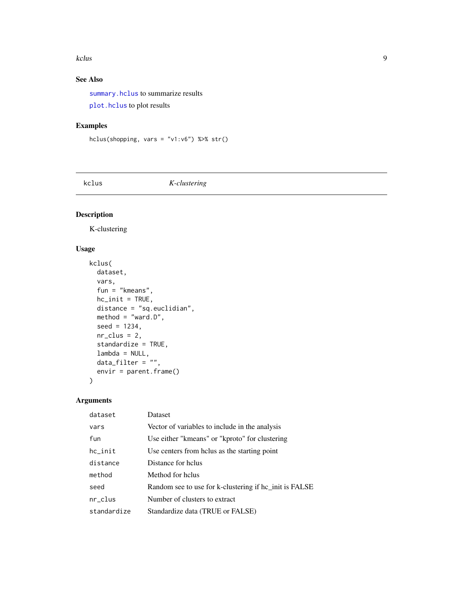#### <span id="page-8-0"></span>kclus **9**

## See Also

[summary.hclus](#page-32-1) to summarize results

[plot.hclus](#page-13-1) to plot results

## Examples

```
hclus(shopping, vars = "v1:v6") %>% str()
```
<span id="page-8-1"></span>kclus *K-clustering*

## Description

K-clustering

## Usage

```
kclus(
  dataset,
  vars,
  fun = "kmeans",
  hc\_init = TRUE,distance = "sq.euclidian",
  method = "ward.D",seed = 1234,
  nr\_clus = 2,
  standardize = TRUE,
  lambda = NULL,
  data_fitter = "",envir = parent.frame()
\mathcal{L}
```
## Arguments

| dataset     | <b>Dataset</b>                                         |
|-------------|--------------------------------------------------------|
| vars        | Vector of variables to include in the analysis         |
| fun         | Use either "kmeans" or "kproto" for clustering         |
| $hc$ _init  | Use centers from holus as the starting point           |
| distance    | Distance for helus                                     |
| method      | Method for helus                                       |
| seed        | Random see to use for k-clustering if hc_init is FALSE |
| $nr\_clus$  | Number of clusters to extract                          |
| standardize | Standardize data (TRUE or FALSE)                       |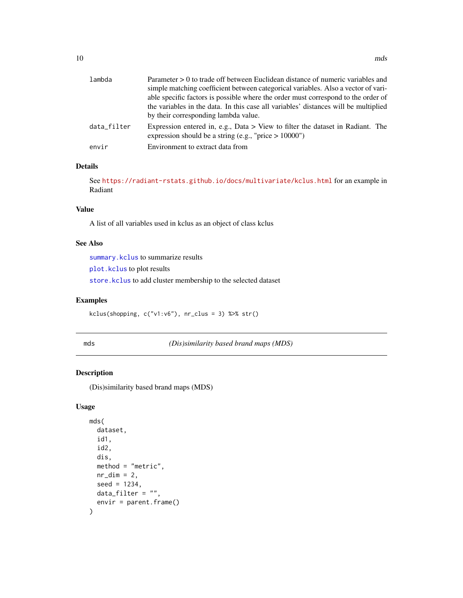<span id="page-9-0"></span>

| lambda      | Parameter > 0 to trade off between Euclidean distance of numeric variables and                                                               |
|-------------|----------------------------------------------------------------------------------------------------------------------------------------------|
|             | simple matching coefficient between categorical variables. Also a vector of vari-                                                            |
|             | able specific factors is possible where the order must correspond to the order of                                                            |
|             | the variables in the data. In this case all variables' distances will be multiplied                                                          |
|             | by their corresponding lambda value.                                                                                                         |
| data filter | Expression entered in, e.g., Data $>$ View to filter the dataset in Radiant. The<br>expression should be a string (e.g., "price $> 10000$ ") |
| envir       | Environment to extract data from                                                                                                             |

## Details

See <https://radiant-rstats.github.io/docs/multivariate/kclus.html> for an example in Radiant

#### Value

A list of all variables used in kclus as an object of class kclus

#### See Also

[summary.kclus](#page-32-2) to summarize results

[plot.kclus](#page-14-1) to plot results

[store.kclus](#page-29-1) to add cluster membership to the selected dataset

#### Examples

kclus(shopping, c("v1:v6"), nr\_clus = 3) %>% str()

<span id="page-9-1"></span>mds *(Dis)similarity based brand maps (MDS)*

## Description

(Dis)similarity based brand maps (MDS)

```
mds(
  dataset,
  id1,
  id2,
  dis,
  method = "metric".nr\_dim = 2,
  seed = 1234,
  data_filter = ",
  envir = parent.frame()
)
```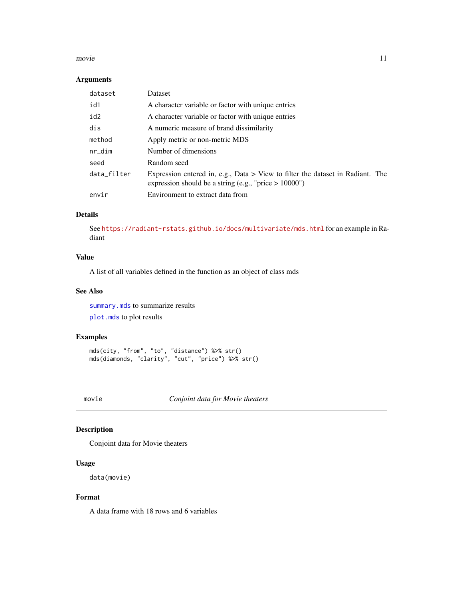#### <span id="page-10-0"></span>movie the contract of the contract of the contract of the contract of the contract of the contract of the contract of the contract of the contract of the contract of the contract of the contract of the contract of the cont

#### Arguments

| dataset     | Dataset                                                                                                                                      |
|-------------|----------------------------------------------------------------------------------------------------------------------------------------------|
| id1         | A character variable or factor with unique entries                                                                                           |
| id2         | A character variable or factor with unique entries                                                                                           |
| dis         | A numeric measure of brand dissimilarity                                                                                                     |
| method      | Apply metric or non-metric MDS                                                                                                               |
| nr_dim      | Number of dimensions                                                                                                                         |
| seed        | Random seed                                                                                                                                  |
| data_filter | Expression entered in, e.g., Data $>$ View to filter the dataset in Radiant. The<br>expression should be a string (e.g., "price $> 10000$ ") |
| envir       | Environment to extract data from                                                                                                             |

## Details

See <https://radiant-rstats.github.io/docs/multivariate/mds.html> for an example in Radiant

#### Value

A list of all variables defined in the function as an object of class mds

#### See Also

[summary.mds](#page-33-1) to summarize results [plot.mds](#page-15-1) to plot results

#### Examples

```
mds(city, "from", "to", "distance") %>% str()
mds(diamonds, "clarity", "cut", "price") %>% str()
```
movie *Conjoint data for Movie theaters*

## Description

Conjoint data for Movie theaters

## Usage

data(movie)

#### Format

A data frame with 18 rows and 6 variables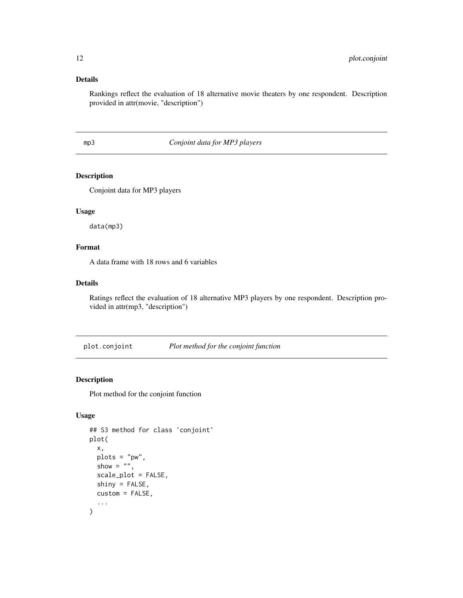## <span id="page-11-0"></span>Details

Rankings reflect the evaluation of 18 alternative movie theaters by one respondent. Description provided in attr(movie, "description")

## mp3 *Conjoint data for MP3 players*

#### Description

Conjoint data for MP3 players

## Usage

data(mp3)

## Format

A data frame with 18 rows and 6 variables

#### Details

Ratings reflect the evaluation of 18 alternative MP3 players by one respondent. Description provided in attr(mp3, "description")

<span id="page-11-1"></span>plot.conjoint *Plot method for the conjoint function*

## Description

Plot method for the conjoint function

```
## S3 method for class 'conjoint'
plot(
  x,
 plots = "pw",
  show = ".
  scale_plot = FALSE,
  shiny = FALSE,
  custom = FALSE,
  ...
\mathcal{E}
```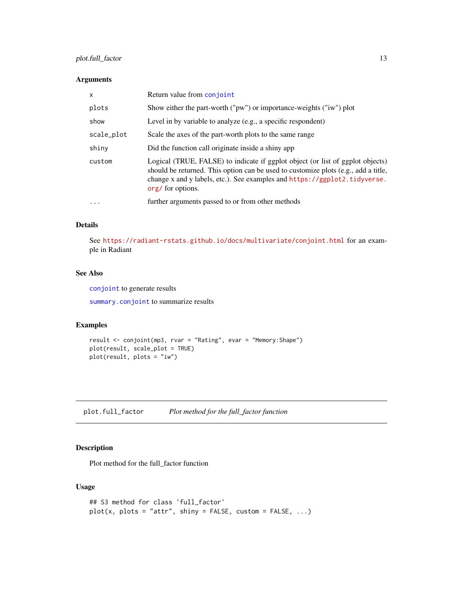## <span id="page-12-0"></span>plot.full\_factor 13

#### Arguments

| x          | Return value from conjoint                                                                                                                                                                                                                                             |
|------------|------------------------------------------------------------------------------------------------------------------------------------------------------------------------------------------------------------------------------------------------------------------------|
| plots      | Show either the part-worth ("pw") or importance-weights ("iw") plot                                                                                                                                                                                                    |
| show       | Level in by variable to analyze (e.g., a specific respondent)                                                                                                                                                                                                          |
| scale_plot | Scale the axes of the part-worth plots to the same range                                                                                                                                                                                                               |
| shiny      | Did the function call originate inside a shiny app                                                                                                                                                                                                                     |
| custom     | Logical (TRUE, FALSE) to indicate if ggplot object (or list of ggplot objects)<br>should be returned. This option can be used to customize plots (e.g., add a title,<br>change x and y labels, etc.). See examples and https://ggplot2.tidyverse.<br>org/ for options. |
| $\ddotsc$  | further arguments passed to or from other methods                                                                                                                                                                                                                      |

#### Details

See <https://radiant-rstats.github.io/docs/multivariate/conjoint.html> for an example in Radiant

## See Also

[conjoint](#page-4-1) to generate results

[summary.conjoint](#page-30-1) to summarize results

#### Examples

```
result <- conjoint(mp3, rvar = "Rating", evar = "Memory:Shape")
plot(result, scale_plot = TRUE)
plot(result, plots = "iw")
```
<span id="page-12-1"></span>plot.full\_factor *Plot method for the full\_factor function*

## Description

Plot method for the full\_factor function

```
## S3 method for class 'full_factor'
plot(x, plots = "attr", ship = FALSE, custom = FALSE, ...)
```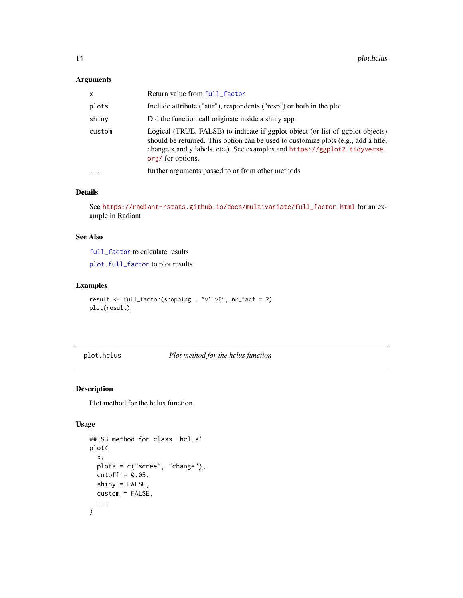#### <span id="page-13-0"></span>Arguments

| X         | Return value from full_factor                                                                                                                                                                                                                                          |
|-----------|------------------------------------------------------------------------------------------------------------------------------------------------------------------------------------------------------------------------------------------------------------------------|
| plots     | Include attribute ("attr"), respondents ("resp") or both in the plot                                                                                                                                                                                                   |
| shiny     | Did the function call originate inside a shiny app                                                                                                                                                                                                                     |
| custom    | Logical (TRUE, FALSE) to indicate if ggplot object (or list of ggplot objects)<br>should be returned. This option can be used to customize plots (e.g., add a title,<br>change x and y labels, etc.). See examples and https://ggplot2.tidyverse.<br>org/ for options. |
| $\ddotsc$ | further arguments passed to or from other methods                                                                                                                                                                                                                      |

#### Details

See [https://radiant-rstats.github.io/docs/multivariate/full\\_factor.html](https://radiant-rstats.github.io/docs/multivariate/full_factor.html) for an example in Radiant

## See Also

[full\\_factor](#page-5-1) to calculate results

[plot.full\\_factor](#page-12-1) to plot results

#### Examples

```
result <- full_factor(shopping , "v1:v6", nr_fact = 2)
plot(result)
```
<span id="page-13-1"></span>plot.hclus *Plot method for the hclus function*

#### Description

Plot method for the hclus function

```
## S3 method for class 'hclus'
plot(
  x,
  plots = c("scree", "change"),
  cutoff = 0.05,
  shiny = FALSE,
  custom = FALSE,
  ...
\mathcal{L}
```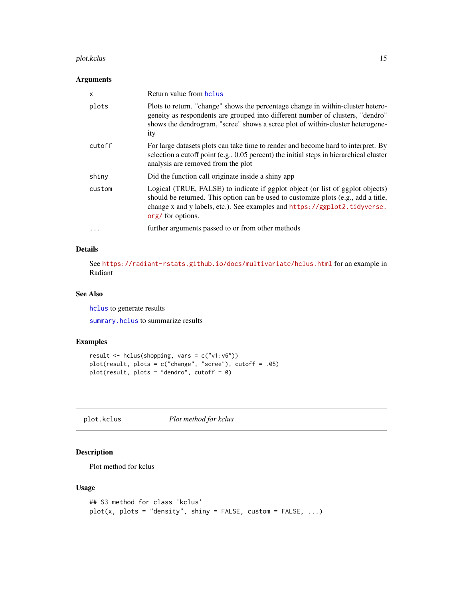#### <span id="page-14-0"></span>plot.kclus that the contract of the contract of the contract of the contract of the contract of the contract of the contract of the contract of the contract of the contract of the contract of the contract of the contract o

#### Arguments

| $\mathsf{x}$ | Return value from hclus                                                                                                                                                                                                                                                |
|--------------|------------------------------------------------------------------------------------------------------------------------------------------------------------------------------------------------------------------------------------------------------------------------|
| plots        | Plots to return. "change" shows the percentage change in within-cluster hetero-<br>geneity as respondents are grouped into different number of clusters, "dendro"<br>shows the dendrogram, "scree" shows a scree plot of within-cluster heterogene-<br>ity             |
| cutoff       | For large datasets plots can take time to render and become hard to interpret. By<br>selection a cutoff point (e.g., 0.05 percent) the initial steps in hierarchical cluster<br>analysis are removed from the plot                                                     |
| shiny        | Did the function call originate inside a shiny app                                                                                                                                                                                                                     |
| custom       | Logical (TRUE, FALSE) to indicate if ggplot object (or list of ggplot objects)<br>should be returned. This option can be used to customize plots (e.g., add a title,<br>change x and y labels, etc.). See examples and https://ggplot2.tidyverse.<br>org/ for options. |
| $\ddotsc$    | further arguments passed to or from other methods                                                                                                                                                                                                                      |

#### Details

See <https://radiant-rstats.github.io/docs/multivariate/hclus.html> for an example in Radiant

#### See Also

[hclus](#page-7-1) to generate results

[summary.hclus](#page-32-1) to summarize results

#### Examples

```
result <- hclus(shopping, vars = c("v1:v6"))
plot(result, plots = c("change", "scree"), cutoff = .05)
plot(result, plots = "dendro", cutoff = 0)
```
<span id="page-14-1"></span>plot.kclus *Plot method for kclus*

## Description

Plot method for kclus

```
## S3 method for class 'kclus'
plot(x, plots = "density", ship = FALSE, custom = FALSE, ...)
```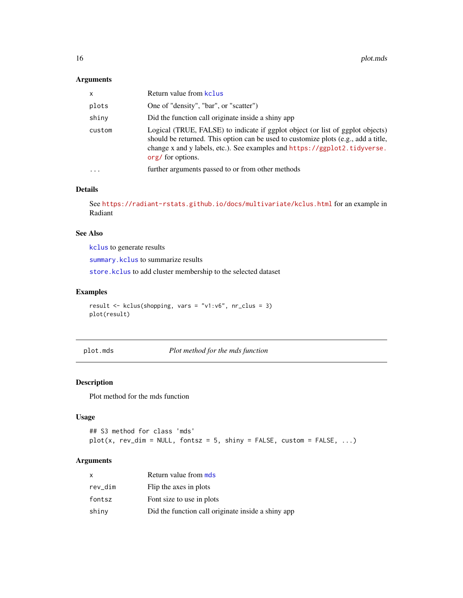#### <span id="page-15-0"></span>Arguments

| $\mathsf{x}$ | Return value from kclus                                                                                                                                                                                                                                                |
|--------------|------------------------------------------------------------------------------------------------------------------------------------------------------------------------------------------------------------------------------------------------------------------------|
| plots        | One of "density", "bar", or "scatter")                                                                                                                                                                                                                                 |
| shiny        | Did the function call originate inside a shiny app                                                                                                                                                                                                                     |
| custom       | Logical (TRUE, FALSE) to indicate if ggplot object (or list of ggplot objects)<br>should be returned. This option can be used to customize plots (e.g., add a title,<br>change x and y labels, etc.). See examples and https://ggplot2.tidyverse.<br>org/ for options. |
| $\ddotsc$    | further arguments passed to or from other methods                                                                                                                                                                                                                      |
|              |                                                                                                                                                                                                                                                                        |

#### Details

See <https://radiant-rstats.github.io/docs/multivariate/kclus.html> for an example in Radiant

## See Also

[kclus](#page-8-1) to generate results

[summary.kclus](#page-32-2) to summarize results

[store.kclus](#page-29-1) to add cluster membership to the selected dataset

#### Examples

result <- kclus(shopping, vars = "v1:v6", nr\_clus = 3) plot(result)

<span id="page-15-1"></span>plot.mds *Plot method for the mds function*

#### Description

Plot method for the mds function

#### Usage

```
## S3 method for class 'mds'
plot(x, rev\_dim = NULL, fontsz = 5, ship = FALSE, custom = FALSE, ...)
```
## Arguments

| x       | Return value from mds                              |
|---------|----------------------------------------------------|
| rev_dim | Flip the axes in plots                             |
| fontsz  | Font size to use in plots                          |
| shinv   | Did the function call originate inside a shiny app |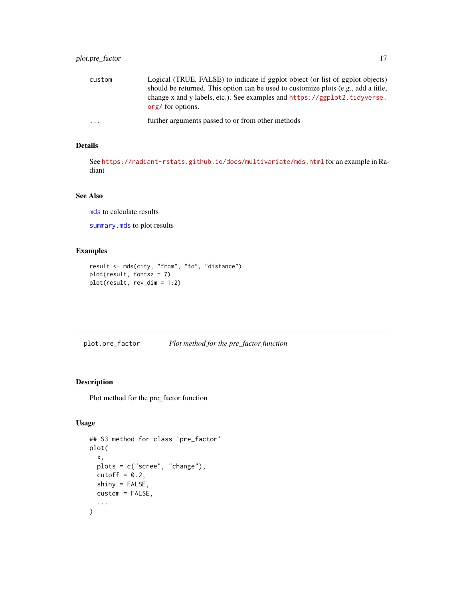## <span id="page-16-0"></span>plot.pre\_factor 17

| custom    | Logical (TRUE, FALSE) to indicate if ggplot object (or list of ggplot objects)<br>should be returned. This option can be used to customize plots (e.g., add a title, |
|-----------|----------------------------------------------------------------------------------------------------------------------------------------------------------------------|
|           | change x and y labels, etc.). See examples and https://ggplot2.tidyverse.<br>org/ for options.                                                                       |
| $\ddotsc$ | further arguments passed to or from other methods                                                                                                                    |

## Details

See <https://radiant-rstats.github.io/docs/multivariate/mds.html> for an example in Radiant

## See Also

[mds](#page-9-1) to calculate results

[summary.mds](#page-33-1) to plot results

#### Examples

```
result <- mds(city, "from", "to", "distance")
plot(result, fontsz = 7)
plot(result, rev_dim = 1:2)
```
<span id="page-16-1"></span>plot.pre\_factor *Plot method for the pre\_factor function*

## Description

Plot method for the pre\_factor function

```
## S3 method for class 'pre_factor'
plot(
  x,
  plots = c("scree", "change"),
  cutoff = 0.2,
  shiny = FALSE,
  custom = FALSE,
  ...
\mathcal{L}
```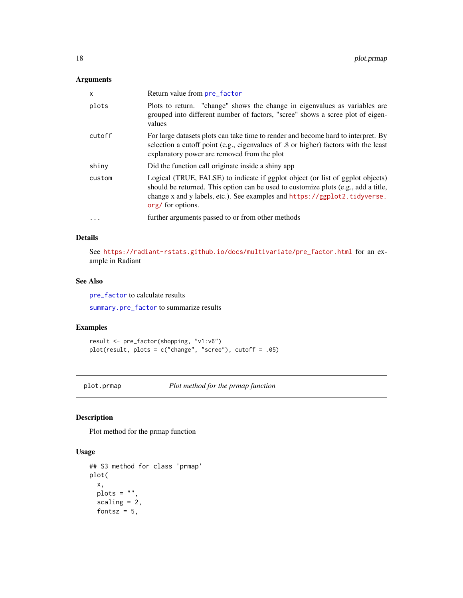#### <span id="page-17-0"></span>Arguments

| x        | Return value from pre_factor                                                                                                                                                                                                                                           |
|----------|------------------------------------------------------------------------------------------------------------------------------------------------------------------------------------------------------------------------------------------------------------------------|
| plots    | Plots to return. "change" shows the change in eigenvalues as variables are<br>grouped into different number of factors, "scree" shows a scree plot of eigen-<br>values                                                                                                 |
| cutoff   | For large datasets plots can take time to render and become hard to interpret. By<br>selection a cutoff point (e.g., eigenvalues of .8 or higher) factors with the least<br>explanatory power are removed from the plot                                                |
| shiny    | Did the function call originate inside a shiny app                                                                                                                                                                                                                     |
| custom   | Logical (TRUE, FALSE) to indicate if ggplot object (or list of ggplot objects)<br>should be returned. This option can be used to customize plots (e.g., add a title,<br>change x and y labels, etc.). See examples and https://ggplot2.tidyverse.<br>org/ for options. |
| $\cdots$ | further arguments passed to or from other methods                                                                                                                                                                                                                      |

## Details

See [https://radiant-rstats.github.io/docs/multivariate/pre\\_factor.html](https://radiant-rstats.github.io/docs/multivariate/pre_factor.html) for an example in Radiant

#### See Also

[pre\\_factor](#page-21-1) to calculate results

[summary.pre\\_factor](#page-34-1) to summarize results

## Examples

```
result <- pre_factor(shopping, "v1:v6")
plot(result, plots = c("change", "scree"), cutoff = .05)
```
<span id="page-17-1"></span>plot.prmap *Plot method for the prmap function*

## Description

Plot method for the prmap function

```
## S3 method for class 'prmap'
plot(
  x,
 plots = ",
  scaling = 2,
  fontsz = 5,
```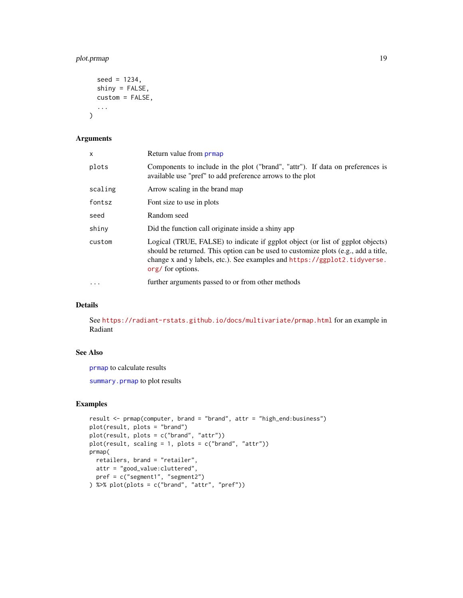## <span id="page-18-0"></span>plot.prmap 19

```
seed = 1234,
  shiny = FALSE,
  custom = FALSE,
  ...
\mathcal{L}
```
## Arguments

| X         | Return value from <b>prmap</b>                                                                                                                                                                                                                                         |
|-----------|------------------------------------------------------------------------------------------------------------------------------------------------------------------------------------------------------------------------------------------------------------------------|
| plots     | Components to include in the plot ("brand", "attr"). If data on preferences is<br>available use "pref" to add preference arrows to the plot                                                                                                                            |
| scaling   | Arrow scaling in the brand map                                                                                                                                                                                                                                         |
| fontsz    | Font size to use in plots                                                                                                                                                                                                                                              |
| seed      | Random seed                                                                                                                                                                                                                                                            |
| shiny     | Did the function call originate inside a shiny app                                                                                                                                                                                                                     |
| custom    | Logical (TRUE, FALSE) to indicate if ggplot object (or list of ggplot objects)<br>should be returned. This option can be used to customize plots (e.g., add a title,<br>change x and y labels, etc.). See examples and https://ggplot2.tidyverse.<br>org/ for options. |
| $\ddotsc$ | further arguments passed to or from other methods                                                                                                                                                                                                                      |

## Details

See <https://radiant-rstats.github.io/docs/multivariate/prmap.html> for an example in Radiant

#### See Also

[prmap](#page-22-1) to calculate results

[summary.prmap](#page-35-1) to plot results

#### Examples

```
result <- prmap(computer, brand = "brand", attr = "high_end:business")
plot(result, plots = "brand")
plot(result, plots = c("brand", "attr"))
plot(result, scaling = 1, plots = c("brand", "attr"))
prmap(
 retailers, brand = "retailer",
 attr = "good_value:cluttered",
 pref = c("segment1", "segment2")
) %>% plot(plots = c("brand", "attr", "pref"))
```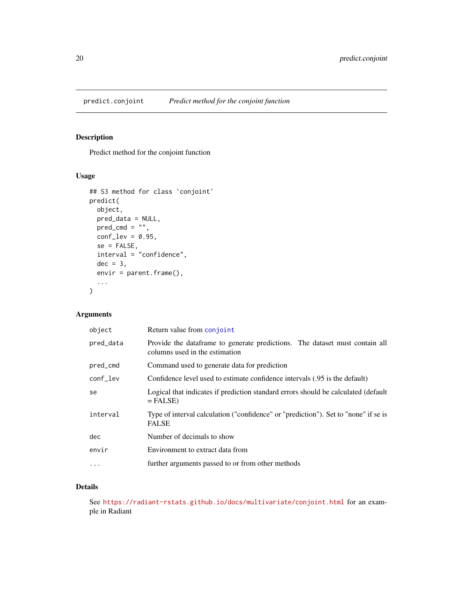## <span id="page-19-0"></span>Description

Predict method for the conjoint function

#### Usage

```
## S3 method for class 'conjoint'
predict(
 object,
 pred_data = NULL,
 pred\_cmd = "",conf\_lev = 0.95,
  se = FALSE,interval = "confidence",
 dec = 3,
 envir = parent.frame(),...
\mathcal{L}
```
## Arguments

| object    | Return value from conjoint                                                                                     |
|-----------|----------------------------------------------------------------------------------------------------------------|
| pred_data | Provide the data frame to generate predictions. The dataset must contain all<br>columns used in the estimation |
| pred_cmd  | Command used to generate data for prediction                                                                   |
| conf_lev  | Confidence level used to estimate confidence intervals (.95 is the default)                                    |
| se        | Logical that indicates if prediction standard errors should be calculated (default<br>$=$ FALSE)               |
| interval  | Type of interval calculation ("confidence" or "prediction"). Set to "none" if se is<br><b>FALSE</b>            |
| dec       | Number of decimals to show                                                                                     |
| envir     | Environment to extract data from                                                                               |
| $\cdots$  | further arguments passed to or from other methods                                                              |

## Details

See <https://radiant-rstats.github.io/docs/multivariate/conjoint.html> for an example in Radiant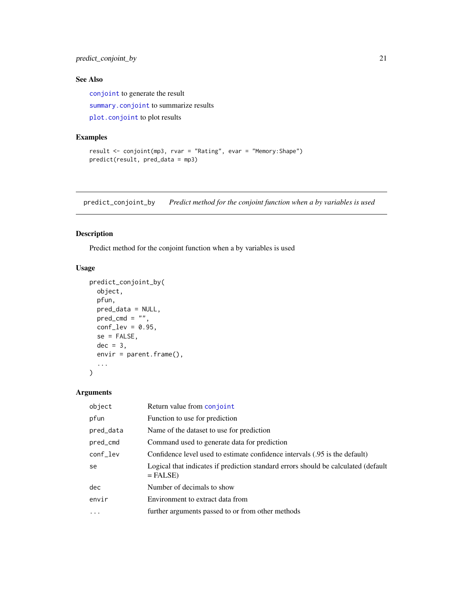<span id="page-20-0"></span>predict\_conjoint\_by 21

## See Also

[conjoint](#page-4-1) to generate the result

[summary.conjoint](#page-30-1) to summarize results

[plot.conjoint](#page-11-1) to plot results

## Examples

```
result <- conjoint(mp3, rvar = "Rating", evar = "Memory:Shape")
predict(result, pred_data = mp3)
```
predict\_conjoint\_by *Predict method for the conjoint function when a by variables is used*

#### Description

Predict method for the conjoint function when a by variables is used

#### Usage

```
predict_conjoint_by(
 object,
 pfun,
 pred_data = NULL,
 pred\_cmd = "",conf\_lev = 0.95,
 se = FALSE,dec = 3,
 envir = parent.frame(),
  ...
)
```
#### Arguments

| object    | Return value from conjoint                                                                       |
|-----------|--------------------------------------------------------------------------------------------------|
| pfun      | Function to use for prediction                                                                   |
| pred_data | Name of the dataset to use for prediction                                                        |
| pred_cmd  | Command used to generate data for prediction                                                     |
| conf_lev  | Confidence level used to estimate confidence intervals (.95 is the default)                      |
| se        | Logical that indicates if prediction standard errors should be calculated (default<br>$=$ FALSE) |
| dec       | Number of decimals to show                                                                       |
| envir     | Environment to extract data from                                                                 |
| $\cdot$   | further arguments passed to or from other methods                                                |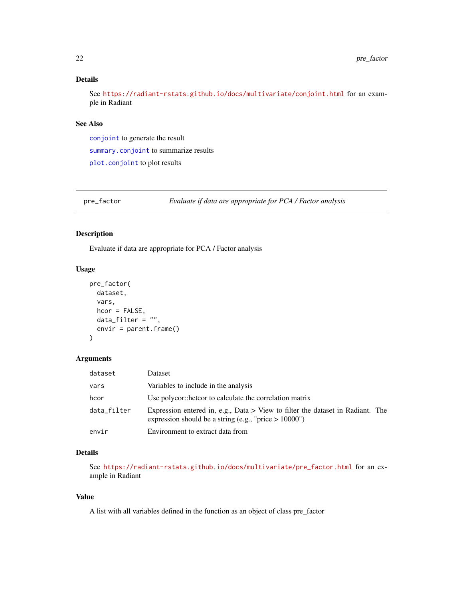## <span id="page-21-0"></span>Details

See <https://radiant-rstats.github.io/docs/multivariate/conjoint.html> for an example in Radiant

#### See Also

[conjoint](#page-4-1) to generate the result [summary.conjoint](#page-30-1) to summarize results [plot.conjoint](#page-11-1) to plot results

<span id="page-21-1"></span>pre\_factor *Evaluate if data are appropriate for PCA / Factor analysis*

#### Description

Evaluate if data are appropriate for PCA / Factor analysis

## Usage

```
pre_factor(
  dataset,
  vars,
  hcor = FALSE,
  data_fitter = "",envir = parent.frame()\mathcal{E}
```
#### Arguments

| dataset     | Dataset                                                                                                                                      |
|-------------|----------------------------------------------------------------------------------------------------------------------------------------------|
| vars        | Variables to include in the analysis                                                                                                         |
| hcor        | Use polycor::hetcor to calculate the correlation matrix                                                                                      |
| data_filter | Expression entered in, e.g., Data $>$ View to filter the dataset in Radiant. The<br>expression should be a string (e.g., "price $> 10000$ ") |
| envir       | Environment to extract data from                                                                                                             |

## Details

See [https://radiant-rstats.github.io/docs/multivariate/pre\\_factor.html](https://radiant-rstats.github.io/docs/multivariate/pre_factor.html) for an example in Radiant

## Value

A list with all variables defined in the function as an object of class pre\_factor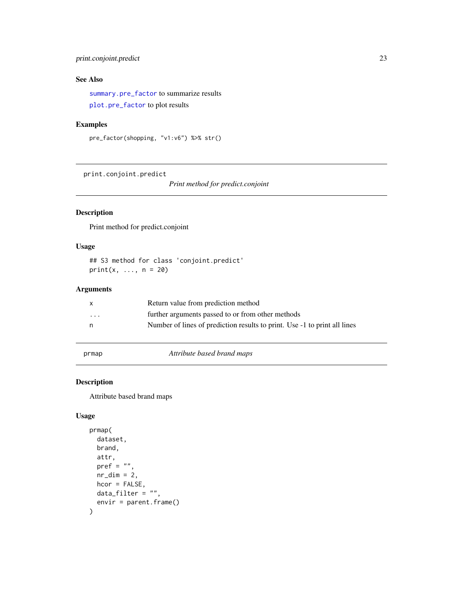## <span id="page-22-0"></span>print.conjoint.predict 23

## See Also

[summary.pre\\_factor](#page-34-1) to summarize results [plot.pre\\_factor](#page-16-1) to plot results

## Examples

```
pre_factor(shopping, "v1:v6") %>% str()
```
print.conjoint.predict

*Print method for predict.conjoint*

## Description

Print method for predict.conjoint

## Usage

## S3 method for class 'conjoint.predict'  $print(x, ..., n = 20)$ 

## Arguments

| X        | Return value from prediction method                                       |
|----------|---------------------------------------------------------------------------|
| $\cdots$ | further arguments passed to or from other methods                         |
| n        | Number of lines of prediction results to print. Use -1 to print all lines |
|          |                                                                           |

<span id="page-22-1"></span>prmap *Attribute based brand maps*

## Description

Attribute based brand maps

```
prmap(
  dataset,
  brand,
  attr,
  pref = ",
  nr\_dim = 2,
  hcor = FALSE,
  data_filter = ",
  envir = parent.frame()
\mathcal{E}
```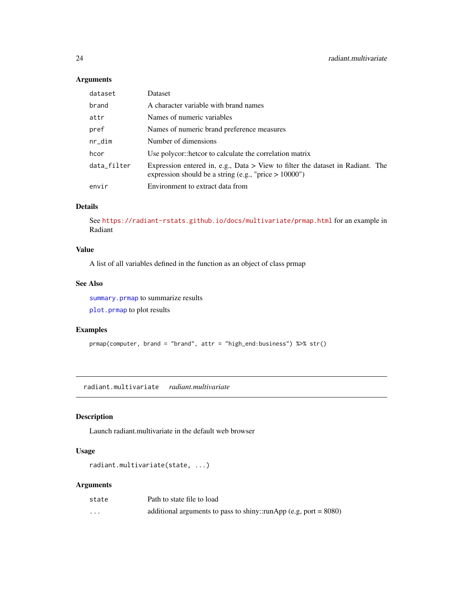## <span id="page-23-0"></span>Arguments

| dataset     | Dataset                                                                                                                                      |
|-------------|----------------------------------------------------------------------------------------------------------------------------------------------|
| brand       | A character variable with brand names                                                                                                        |
| attr        | Names of numeric variables                                                                                                                   |
| pref        | Names of numeric brand preference measures                                                                                                   |
| $nr\_dim$   | Number of dimensions                                                                                                                         |
| hcor        | Use polycor::hetcor to calculate the correlation matrix                                                                                      |
| data_filter | Expression entered in, e.g., Data $>$ View to filter the dataset in Radiant. The<br>expression should be a string (e.g., "price $> 10000$ ") |
| envir       | Environment to extract data from                                                                                                             |

## Details

See <https://radiant-rstats.github.io/docs/multivariate/prmap.html> for an example in Radiant

#### Value

A list of all variables defined in the function as an object of class prmap

#### See Also

[summary.prmap](#page-35-1) to summarize results [plot.prmap](#page-17-1) to plot results

#### Examples

```
prmap(computer, brand = "brand", attr = "high_end:business") %>% str()
```
radiant.multivariate *radiant.multivariate*

## Description

Launch radiant.multivariate in the default web browser

## Usage

```
radiant.multivariate(state, ...)
```
## Arguments

| state    | Path to state file to load                                          |
|----------|---------------------------------------------------------------------|
| $\cdots$ | additional arguments to pass to shiny::runApp (e.g, port = $8080$ ) |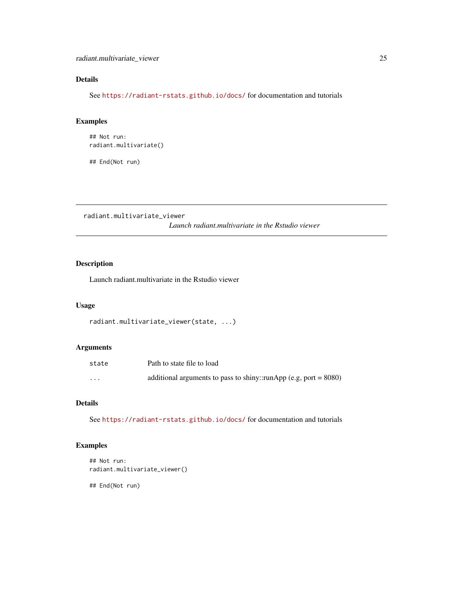## <span id="page-24-0"></span>Details

See <https://radiant-rstats.github.io/docs/> for documentation and tutorials

## Examples

## Not run: radiant.multivariate()

## End(Not run)

radiant.multivariate\_viewer

*Launch radiant.multivariate in the Rstudio viewer*

## Description

Launch radiant.multivariate in the Rstudio viewer

## Usage

```
radiant.multivariate_viewer(state, ...)
```
## Arguments

| state    | Path to state file to load                                          |
|----------|---------------------------------------------------------------------|
| $\cdots$ | additional arguments to pass to shiny::runApp (e.g, port = $8080$ ) |

## Details

See <https://radiant-rstats.github.io/docs/> for documentation and tutorials

## Examples

```
## Not run:
radiant.multivariate_viewer()
```
## End(Not run)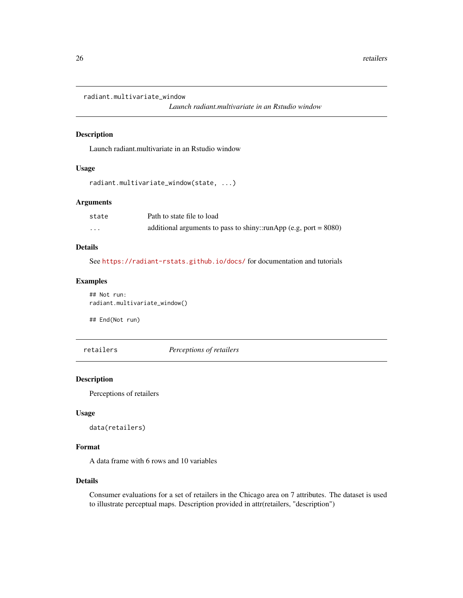```
radiant.multivariate_window
```
*Launch radiant.multivariate in an Rstudio window*

#### Description

Launch radiant.multivariate in an Rstudio window

#### Usage

```
radiant.multivariate_window(state, ...)
```
#### Arguments

| state    | Path to state file to load                                          |
|----------|---------------------------------------------------------------------|
| $\cdots$ | additional arguments to pass to shiny::runApp (e.g, port = $8080$ ) |

#### Details

See <https://radiant-rstats.github.io/docs/> for documentation and tutorials

#### Examples

## Not run: radiant.multivariate\_window()

## End(Not run)

retailers *Perceptions of retailers*

#### Description

Perceptions of retailers

#### Usage

```
data(retailers)
```
#### Format

A data frame with 6 rows and 10 variables

#### Details

Consumer evaluations for a set of retailers in the Chicago area on 7 attributes. The dataset is used to illustrate perceptual maps. Description provided in attr(retailers, "description")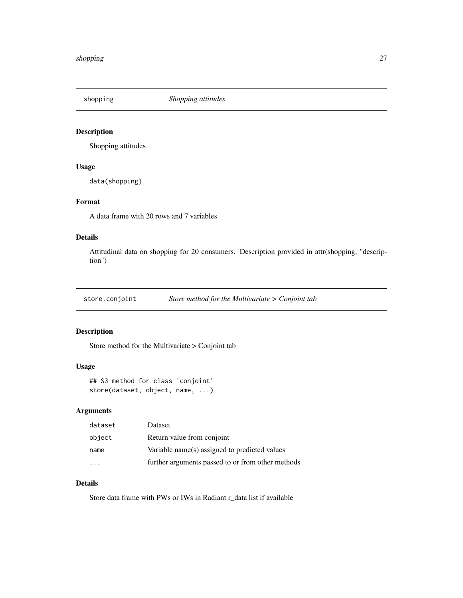<span id="page-26-0"></span>shopping *Shopping attitudes*

## Description

Shopping attitudes

#### Usage

data(shopping)

## Format

A data frame with 20 rows and 7 variables

## Details

Attitudinal data on shopping for 20 consumers. Description provided in attr(shopping, "description")

store.conjoint *Store method for the Multivariate > Conjoint tab*

## Description

Store method for the Multivariate > Conjoint tab

#### Usage

```
## S3 method for class 'conjoint'
store(dataset, object, name, ...)
```
## Arguments

| dataset | Dataset                                           |
|---------|---------------------------------------------------|
| object  | Return value from conjoint                        |
| name    | Variable name(s) assigned to predicted values     |
|         | further arguments passed to or from other methods |

## Details

Store data frame with PWs or IWs in Radiant r\_data list if available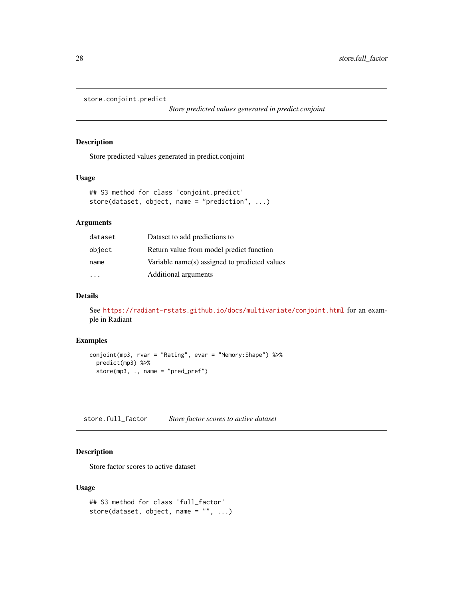```
store.conjoint.predict
```
*Store predicted values generated in predict.conjoint*

#### Description

Store predicted values generated in predict.conjoint

#### Usage

```
## S3 method for class 'conjoint.predict'
store(dataset, object, name = "prediction", ...)
```
#### Arguments

| dataset                 | Dataset to add predictions to                 |
|-------------------------|-----------------------------------------------|
| object                  | Return value from model predict function      |
| name                    | Variable name(s) assigned to predicted values |
| $\cdot$ $\cdot$ $\cdot$ | Additional arguments                          |

#### Details

See <https://radiant-rstats.github.io/docs/multivariate/conjoint.html> for an example in Radiant

## Examples

```
conjoint(mp3, rvar = "Rating", evar = "Memory:Shape") %>%
  predict(mp3) %>%
  store(mp3, ., name = "pred_pref")
```
store.full\_factor *Store factor scores to active dataset*

## Description

Store factor scores to active dataset

```
## S3 method for class 'full_factor'
store(dataset, object, name = ", ...)
```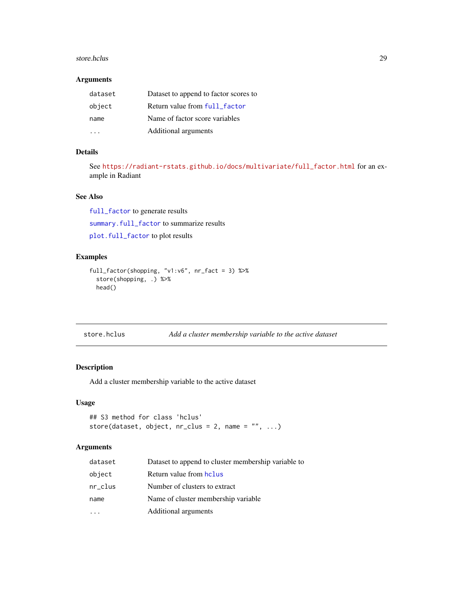#### <span id="page-28-0"></span>store.hclus 29

#### Arguments

| dataset | Dataset to append to factor scores to |
|---------|---------------------------------------|
| object  | Return value from full_factor         |
| name    | Name of factor score variables        |
|         | Additional arguments                  |

## Details

See [https://radiant-rstats.github.io/docs/multivariate/full\\_factor.html](https://radiant-rstats.github.io/docs/multivariate/full_factor.html) for an example in Radiant

## See Also

[full\\_factor](#page-5-1) to generate results

[summary.full\\_factor](#page-31-1) to summarize results

[plot.full\\_factor](#page-12-1) to plot results

## Examples

```
full_factor(shopping, "v1:v6", nr_fact = 3) %>%
  store(shopping, .) %>%
  head()
```

| store.hclus |  |
|-------------|--|
|-------------|--|

## Add a cluster membership variable to the active dataset

## Description

Add a cluster membership variable to the active dataset

#### Usage

```
## S3 method for class 'hclus'
store(dataset, object, nr\_clus = 2, name = "", ...)
```
## Arguments

| dataset | Dataset to append to cluster membership variable to |
|---------|-----------------------------------------------------|
| object  | Return value from holus                             |
| nr_clus | Number of clusters to extract                       |
| name    | Name of cluster membership variable                 |
| .       | Additional arguments                                |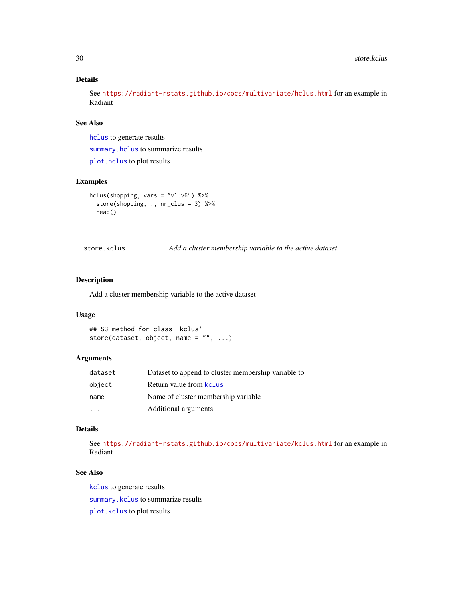## <span id="page-29-0"></span>Details

See <https://radiant-rstats.github.io/docs/multivariate/hclus.html> for an example in Radiant

## See Also

[hclus](#page-7-1) to generate results

[summary.hclus](#page-32-1) to summarize results

[plot.hclus](#page-13-1) to plot results

#### Examples

```
hclus(shopping, vars = "v1:v6") %>%
  store(shopping, ., nr_clus = 3) %>%
  head()
```
<span id="page-29-1"></span>store.kclus *Add a cluster membership variable to the active dataset*

#### Description

Add a cluster membership variable to the active dataset

#### Usage

```
## S3 method for class 'kclus'
store(dataset, object, name = "", ...)
```
#### Arguments

| dataset | Dataset to append to cluster membership variable to |
|---------|-----------------------------------------------------|
| object  | Return value from kclus                             |
| name    | Name of cluster membership variable.                |
|         | Additional arguments                                |

#### Details

See <https://radiant-rstats.github.io/docs/multivariate/kclus.html> for an example in Radiant

## See Also

[kclus](#page-8-1) to generate results

[summary.kclus](#page-32-2) to summarize results

[plot.kclus](#page-14-1) to plot results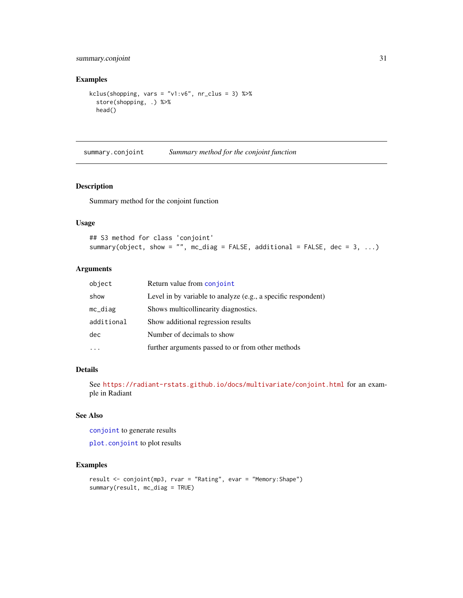## <span id="page-30-0"></span>summary.conjoint 31

#### Examples

```
kclus(shopping, vars = "v1:v6", nr\_clus = 3) %>%
  store(shopping, .) %>%
  head()
```
<span id="page-30-1"></span>summary.conjoint *Summary method for the conjoint function*

## Description

Summary method for the conjoint function

#### Usage

```
## S3 method for class 'conjoint'
summary(object, show = "", mc_diag = FALSE, additional = FALSE, dec = 3, ...)
```
#### Arguments

| object     | Return value from conjoint                                    |
|------------|---------------------------------------------------------------|
| show       | Level in by variable to analyze (e.g., a specific respondent) |
| $mc\_diag$ | Shows multicollinearity diagnostics.                          |
| additional | Show additional regression results                            |
| dec        | Number of decimals to show                                    |
|            | further arguments passed to or from other methods             |

## Details

See <https://radiant-rstats.github.io/docs/multivariate/conjoint.html> for an example in Radiant

## See Also

[conjoint](#page-4-1) to generate results

[plot.conjoint](#page-11-1) to plot results

## Examples

```
result <- conjoint(mp3, rvar = "Rating", evar = "Memory:Shape")
summary(result, mc_diag = TRUE)
```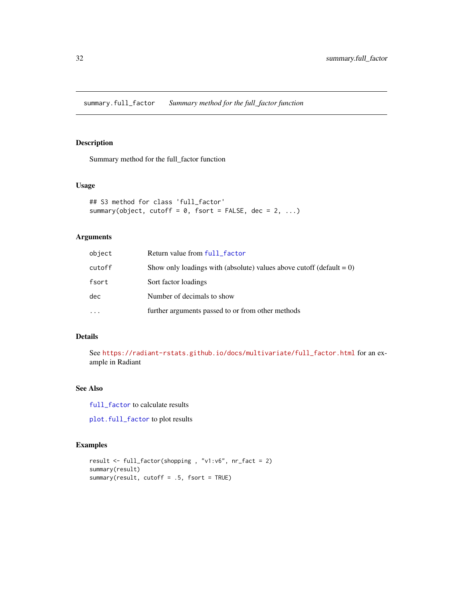<span id="page-31-1"></span><span id="page-31-0"></span>summary.full\_factor *Summary method for the full\_factor function*

#### Description

Summary method for the full\_factor function

#### Usage

```
## S3 method for class 'full_factor'
summary(object, cutoff = 0, fsort = FALSE, dec = 2, ...)
```
## Arguments

| object   | Return value from full_factor                                           |
|----------|-------------------------------------------------------------------------|
| cutoff   | Show only loadings with (absolute) values above cutoff (default $= 0$ ) |
| fsort    | Sort factor loadings                                                    |
| dec      | Number of decimals to show                                              |
| $\ddots$ | further arguments passed to or from other methods                       |

#### Details

See [https://radiant-rstats.github.io/docs/multivariate/full\\_factor.html](https://radiant-rstats.github.io/docs/multivariate/full_factor.html) for an example in Radiant

## See Also

[full\\_factor](#page-5-1) to calculate results

[plot.full\\_factor](#page-12-1) to plot results

#### Examples

```
result <- full_factor(shopping , "v1:v6", nr_fact = 2)
summary(result)
summary(result, cutoff = .5, fsort = TRUE)
```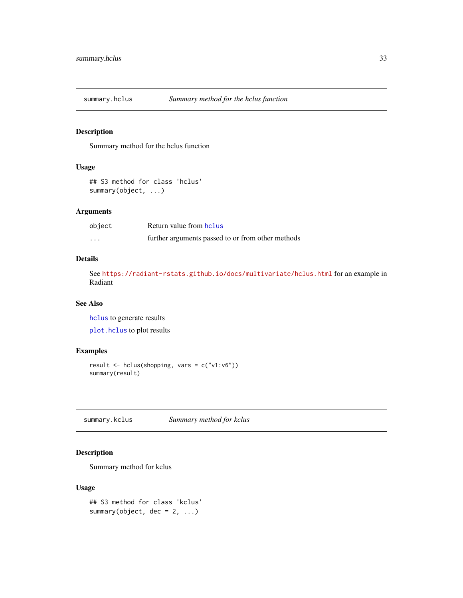<span id="page-32-1"></span><span id="page-32-0"></span>

## Description

Summary method for the hclus function

## Usage

```
## S3 method for class 'hclus'
summary(object, ...)
```
## Arguments

| object   | Return value from hclus                           |
|----------|---------------------------------------------------|
| $\cdots$ | further arguments passed to or from other methods |

#### Details

See <https://radiant-rstats.github.io/docs/multivariate/hclus.html> for an example in Radiant

#### See Also

[hclus](#page-7-1) to generate results [plot.hclus](#page-13-1) to plot results

## Examples

```
result <- hclus(shopping, vars = c("v1:v6"))
summary(result)
```
<span id="page-32-2"></span>summary.kclus *Summary method for kclus*

## Description

Summary method for kclus

```
## S3 method for class 'kclus'
summary(object, dec = 2, ...)
```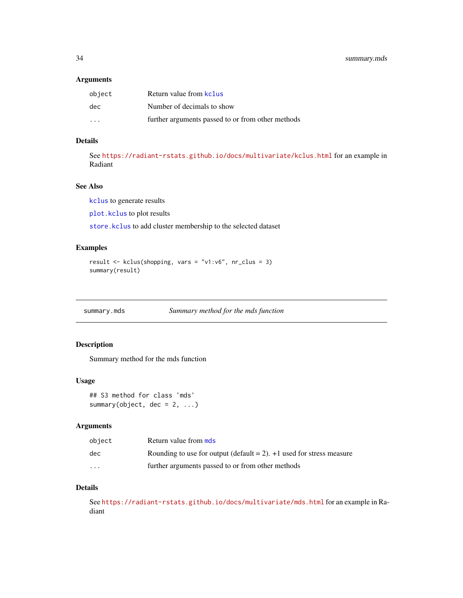#### <span id="page-33-0"></span>Arguments

| object                  | Return value from kclus                           |
|-------------------------|---------------------------------------------------|
| dec.                    | Number of decimals to show                        |
| $\cdot$ $\cdot$ $\cdot$ | further arguments passed to or from other methods |

## Details

See <https://radiant-rstats.github.io/docs/multivariate/kclus.html> for an example in Radiant

#### See Also

[kclus](#page-8-1) to generate results

[plot.kclus](#page-14-1) to plot results

[store.kclus](#page-29-1) to add cluster membership to the selected dataset

## Examples

```
result <- kclus(shopping, vars = "v1:v6", nr_clus = 3)
summary(result)
```
<span id="page-33-1"></span>summary.mds *Summary method for the mds function*

## Description

Summary method for the mds function

#### Usage

```
## S3 method for class 'mds'
summary(object, dec = 2, ...)
```
#### Arguments

| object                  | Return value from mds                                                     |
|-------------------------|---------------------------------------------------------------------------|
| dec.                    | Rounding to use for output (default $= 2$ ). $+1$ used for stress measure |
| $\cdot$ $\cdot$ $\cdot$ | further arguments passed to or from other methods                         |

#### Details

See <https://radiant-rstats.github.io/docs/multivariate/mds.html> for an example in Radiant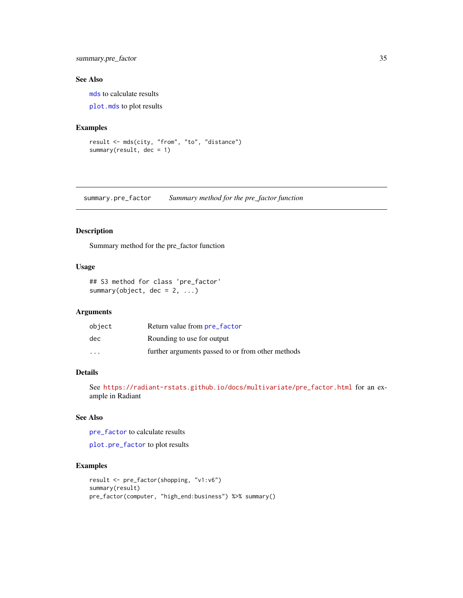## <span id="page-34-0"></span>summary.pre\_factor 35

#### See Also

[mds](#page-9-1) to calculate results

[plot.mds](#page-15-1) to plot results

#### Examples

```
result <- mds(city, "from", "to", "distance")
summary(result, dec = 1)
```
<span id="page-34-1"></span>summary.pre\_factor *Summary method for the pre\_factor function*

## Description

Summary method for the pre\_factor function

#### Usage

## S3 method for class 'pre\_factor' summary(object,  $dec = 2, ...$ )

## Arguments

| object                  | Return value from pre_factor                      |
|-------------------------|---------------------------------------------------|
| dec                     | Rounding to use for output                        |
| $\cdot$ $\cdot$ $\cdot$ | further arguments passed to or from other methods |

## Details

See [https://radiant-rstats.github.io/docs/multivariate/pre\\_factor.html](https://radiant-rstats.github.io/docs/multivariate/pre_factor.html) for an example in Radiant

## See Also

[pre\\_factor](#page-21-1) to calculate results

[plot.pre\\_factor](#page-16-1) to plot results

#### Examples

```
result <- pre_factor(shopping, "v1:v6")
summary(result)
pre_factor(computer, "high_end:business") %>% summary()
```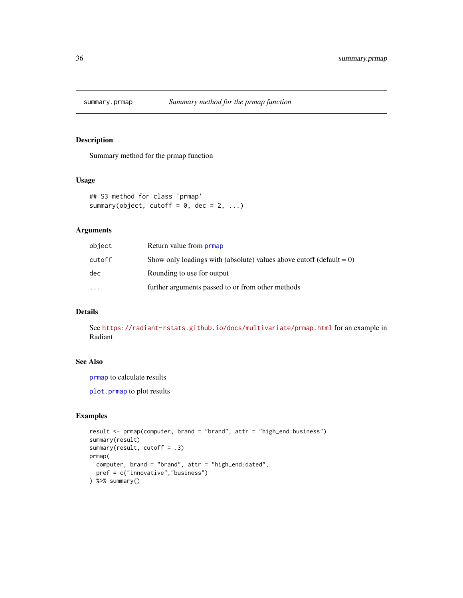<span id="page-35-1"></span><span id="page-35-0"></span>

## Description

Summary method for the prmap function

#### Usage

## S3 method for class 'prmap' summary(object, cutoff =  $0$ , dec =  $2$ , ...)

## Arguments

| object   | Return value from <b>prmap</b>                                          |
|----------|-------------------------------------------------------------------------|
| cutoff   | Show only loadings with (absolute) values above cutoff (default $= 0$ ) |
| dec      | Rounding to use for output                                              |
| $\cdots$ | further arguments passed to or from other methods                       |

## Details

See <https://radiant-rstats.github.io/docs/multivariate/prmap.html> for an example in Radiant

## See Also

[prmap](#page-22-1) to calculate results

[plot.prmap](#page-17-1) to plot results

## Examples

```
result <- prmap(computer, brand = "brand", attr = "high_end:business")
summary(result)
summary(result, cutoff = .3)
prmap(
  computer, brand = "brand", attr = "high_end:dated",
  pref = c("innovative","business")
) %>% summary()
```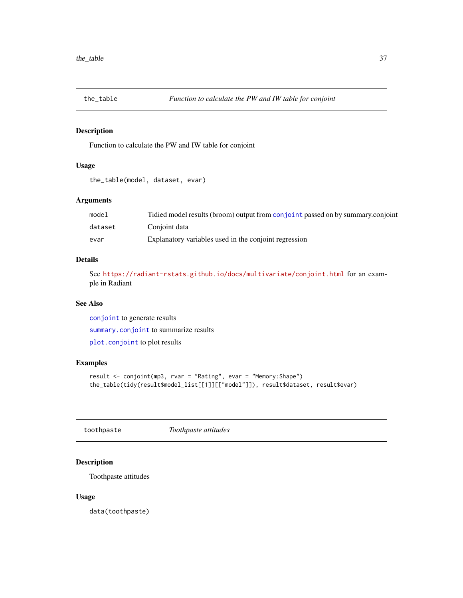<span id="page-36-0"></span>

## Description

Function to calculate the PW and IW table for conjoint

## Usage

```
the_table(model, dataset, evar)
```
#### Arguments

| model   | Tidied model results (broom) output from conjoint passed on by summary conjoint |
|---------|---------------------------------------------------------------------------------|
| dataset | Conioint data                                                                   |
| evar    | Explanatory variables used in the conjoint regression                           |

## Details

See <https://radiant-rstats.github.io/docs/multivariate/conjoint.html> for an example in Radiant

#### See Also

[conjoint](#page-4-1) to generate results [summary.conjoint](#page-30-1) to summarize results

[plot.conjoint](#page-11-1) to plot results

## Examples

```
result <- conjoint(mp3, rvar = "Rating", evar = "Memory:Shape")
the_table(tidy(result$model_list[[1]][["model"]]), result$dataset, result$evar)
```
toothpaste *Toothpaste attitudes*

## Description

Toothpaste attitudes

#### Usage

data(toothpaste)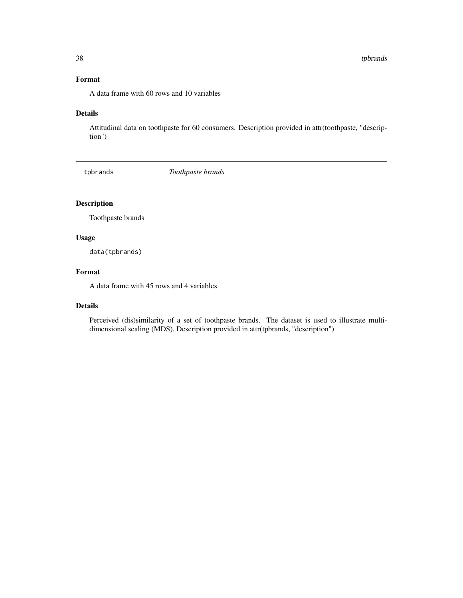## <span id="page-37-0"></span>Format

A data frame with 60 rows and 10 variables

#### Details

Attitudinal data on toothpaste for 60 consumers. Description provided in attr(toothpaste, "description")

tpbrands *Toothpaste brands*

## Description

Toothpaste brands

## Usage

data(tpbrands)

#### Format

A data frame with 45 rows and 4 variables

#### Details

Perceived (dis)similarity of a set of toothpaste brands. The dataset is used to illustrate multidimensional scaling (MDS). Description provided in attr(tpbrands, "description")